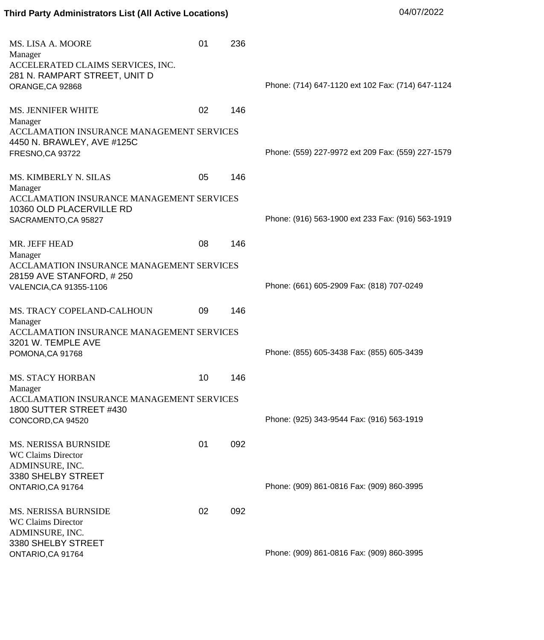## **Third Party Administrators List (All Active Locations)** 04/07/2022

| MS. LISA A. MOORE                                                       | 01 | 236 |                                                   |
|-------------------------------------------------------------------------|----|-----|---------------------------------------------------|
| Manager<br>ACCELERATED CLAIMS SERVICES, INC.                            |    |     |                                                   |
| 281 N. RAMPART STREET, UNIT D                                           |    |     |                                                   |
| ORANGE, CA 92868                                                        |    |     | Phone: (714) 647-1120 ext 102 Fax: (714) 647-1124 |
| <b>MS. JENNIFER WHITE</b><br>Manager                                    | 02 | 146 |                                                   |
| ACCLAMATION INSURANCE MANAGEMENT SERVICES<br>4450 N. BRAWLEY, AVE #125C |    |     |                                                   |
| <b>FRESNO,CA 93722</b>                                                  |    |     | Phone: (559) 227-9972 ext 209 Fax: (559) 227-1579 |
|                                                                         |    |     |                                                   |
| <b>MS. KIMBERLY N. SILAS</b><br>Manager                                 | 05 | 146 |                                                   |
| ACCLAMATION INSURANCE MANAGEMENT SERVICES<br>10360 OLD PLACERVILLE RD   |    |     |                                                   |
| SACRAMENTO, CA 95827                                                    |    |     | Phone: (916) 563-1900 ext 233 Fax: (916) 563-1919 |
| MR. JEFF HEAD                                                           | 08 | 146 |                                                   |
| Manager<br>ACCLAMATION INSURANCE MANAGEMENT SERVICES                    |    |     |                                                   |
| 28159 AVE STANFORD, #250                                                |    |     |                                                   |
| VALENCIA, CA 91355-1106                                                 |    |     | Phone: (661) 605-2909 Fax: (818) 707-0249         |
| MS. TRACY COPELAND-CALHOUN<br>Manager                                   | 09 | 146 |                                                   |
| ACCLAMATION INSURANCE MANAGEMENT SERVICES                               |    |     |                                                   |
| 3201 W. TEMPLE AVE<br>POMONA, CA 91768                                  |    |     | Phone: (855) 605-3438 Fax: (855) 605-3439         |
|                                                                         |    |     |                                                   |
| <b>MS. STACY HORBAN</b>                                                 | 10 | 146 |                                                   |
| Manager<br>ACCLAMATION INSURANCE MANAGEMENT SERVICES                    |    |     |                                                   |
| 1800 SUTTER STREET #430                                                 |    |     |                                                   |
| CONCORD, CA 94520                                                       |    |     | Phone: (925) 343-9544 Fax: (916) 563-1919         |
| <b>MS. NERISSA BURNSIDE</b>                                             | 01 | 092 |                                                   |
| <b>WC Claims Director</b>                                               |    |     |                                                   |
| ADMINSURE, INC.                                                         |    |     |                                                   |
| 3380 SHELBY STREET<br>ONTARIO, CA 91764                                 |    |     | Phone: (909) 861-0816 Fax: (909) 860-3995         |
|                                                                         |    |     |                                                   |
| <b>MS. NERISSA BURNSIDE</b>                                             | 02 | 092 |                                                   |
| <b>WC Claims Director</b><br>ADMINSURE, INC.                            |    |     |                                                   |
| 3380 SHELBY STREET                                                      |    |     |                                                   |
| ONTARIO, CA 91764                                                       |    |     | Phone: (909) 861-0816 Fax: (909) 860-3995         |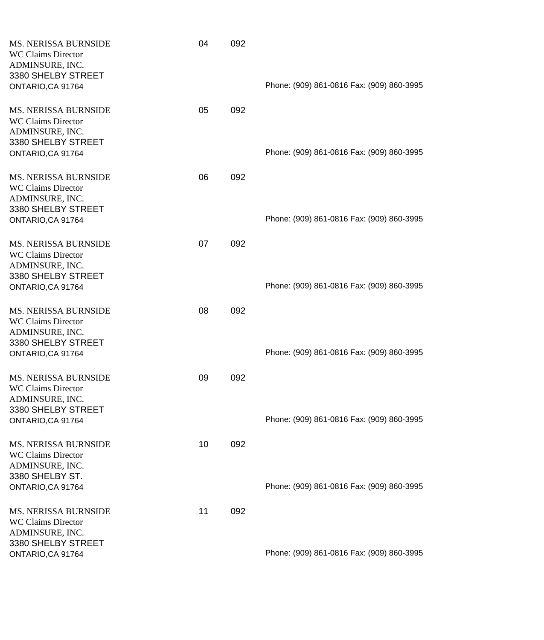| <b>MS. NERISSA BURNSIDE</b><br><b>WC Claims Director</b><br>ADMINSURE, INC.<br>3380 SHELBY STREET<br>ONTARIO, CA 91764 | 04 | 092 | Phone: (909) 861-0816 Fax: (909) 860-3995 |
|------------------------------------------------------------------------------------------------------------------------|----|-----|-------------------------------------------|
| <b>MS. NERISSA BURNSIDE</b><br><b>WC Claims Director</b><br>ADMINSURE, INC.<br>3380 SHELBY STREET<br>ONTARIO, CA 91764 | 05 | 092 | Phone: (909) 861-0816 Fax: (909) 860-3995 |
| <b>MS. NERISSA BURNSIDE</b><br><b>WC Claims Director</b><br>ADMINSURE, INC.<br>3380 SHELBY STREET<br>ONTARIO, CA 91764 | 06 | 092 | Phone: (909) 861-0816 Fax: (909) 860-3995 |
| <b>MS. NERISSA BURNSIDE</b><br><b>WC Claims Director</b><br>ADMINSURE, INC.<br>3380 SHELBY STREET<br>ONTARIO, CA 91764 | 07 | 092 | Phone: (909) 861-0816 Fax: (909) 860-3995 |
| <b>MS. NERISSA BURNSIDE</b><br><b>WC Claims Director</b><br>ADMINSURE, INC.<br>3380 SHELBY STREET<br>ONTARIO, CA 91764 | 08 | 092 | Phone: (909) 861-0816 Fax: (909) 860-3995 |
| <b>MS. NERISSA BURNSIDE</b><br><b>WC Claims Director</b><br>ADMINSURE, INC.<br>3380 SHELBY STREET<br>ONTARIO, CA 91764 | 09 | 092 | Phone: (909) 861-0816 Fax: (909) 860-3995 |
| MS. NERISSA BURNSIDE<br><b>WC Claims Director</b><br>ADMINSURE, INC.<br>3380 SHELBY ST.<br>ONTARIO, CA 91764           | 10 | 092 | Phone: (909) 861-0816 Fax: (909) 860-3995 |
| <b>MS. NERISSA BURNSIDE</b><br><b>WC Claims Director</b><br>ADMINSURE, INC.<br>3380 SHELBY STREET<br>ONTARIO, CA 91764 | 11 | 092 | Phone: (909) 861-0816 Fax: (909) 860-3995 |
|                                                                                                                        |    |     |                                           |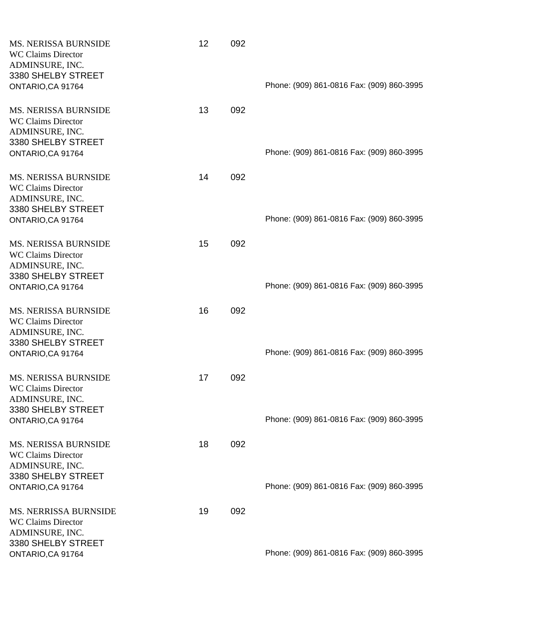| <b>MS. NERISSA BURNSIDE</b><br><b>WC Claims Director</b><br>ADMINSURE, INC.<br>3380 SHELBY STREET<br>ONTARIO, CA 91764 | 12 | 092 | Phone: (909) 861-0816 Fax: (909) 860-3995 |
|------------------------------------------------------------------------------------------------------------------------|----|-----|-------------------------------------------|
| <b>MS. NERISSA BURNSIDE</b><br><b>WC Claims Director</b><br>ADMINSURE, INC.<br>3380 SHELBY STREET<br>ONTARIO, CA 91764 | 13 | 092 | Phone: (909) 861-0816 Fax: (909) 860-3995 |
| <b>MS. NERISSA BURNSIDE</b><br><b>WC Claims Director</b><br>ADMINSURE, INC.<br>3380 SHELBY STREET<br>ONTARIO, CA 91764 | 14 | 092 | Phone: (909) 861-0816 Fax: (909) 860-3995 |
| <b>MS. NERISSA BURNSIDE</b><br><b>WC Claims Director</b><br>ADMINSURE, INC.<br>3380 SHELBY STREET<br>ONTARIO, CA 91764 | 15 | 092 | Phone: (909) 861-0816 Fax: (909) 860-3995 |
| <b>MS. NERISSA BURNSIDE</b><br><b>WC Claims Director</b><br>ADMINSURE, INC.<br>3380 SHELBY STREET<br>ONTARIO, CA 91764 | 16 | 092 | Phone: (909) 861-0816 Fax: (909) 860-3995 |
| <b>MS. NERISSA BURNSIDE</b><br><b>WC Claims Director</b><br>ADMINSURE, INC.<br>3380 SHELBY STREET<br>ONTARIO, CA 91764 | 17 | 092 | Phone: (909) 861-0816 Fax: (909) 860-3995 |
| MS. NERISSA BURNSIDE<br><b>WC Claims Director</b><br>ADMINSURE, INC.<br>3380 SHELBY STREET<br>ONTARIO, CA 91764        | 18 | 092 | Phone: (909) 861-0816 Fax: (909) 860-3995 |
| <b>MS. NERRISSA BURNSIDE</b><br><b>WC Claims Director</b><br>ADMINSURE, INC.<br>3380 SHELBY STREET                     | 19 | 092 | Phone: (909) 861-0816 Fax: (909) 860-3995 |
| ONTARIO, CA 91764                                                                                                      |    |     |                                           |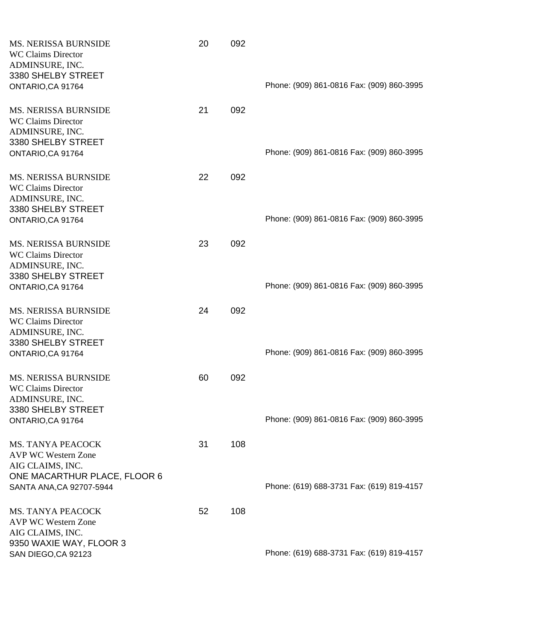| MS. NERISSA BURNSIDE<br><b>WC Claims Director</b><br>ADMINSURE, INC.<br>3380 SHELBY STREET<br>ONTARIO, CA 91764                        | 20 | 092 | Phone: (909) 861-0816 Fax: (909) 860-3995 |
|----------------------------------------------------------------------------------------------------------------------------------------|----|-----|-------------------------------------------|
| <b>MS. NERISSA BURNSIDE</b><br><b>WC Claims Director</b><br>ADMINSURE, INC.<br>3380 SHELBY STREET<br>ONTARIO, CA 91764                 | 21 | 092 | Phone: (909) 861-0816 Fax: (909) 860-3995 |
| <b>MS. NERISSA BURNSIDE</b><br><b>WC Claims Director</b><br>ADMINSURE, INC.<br>3380 SHELBY STREET<br>ONTARIO, CA 91764                 | 22 | 092 | Phone: (909) 861-0816 Fax: (909) 860-3995 |
| <b>MS. NERISSA BURNSIDE</b><br><b>WC Claims Director</b><br>ADMINSURE, INC.<br>3380 SHELBY STREET<br>ONTARIO, CA 91764                 | 23 | 092 | Phone: (909) 861-0816 Fax: (909) 860-3995 |
| <b>MS. NERISSA BURNSIDE</b><br><b>WC Claims Director</b><br>ADMINSURE, INC.<br>3380 SHELBY STREET<br>ONTARIO, CA 91764                 | 24 | 092 | Phone: (909) 861-0816 Fax: (909) 860-3995 |
| <b>MS. NERISSA BURNSIDE</b><br><b>WC Claims Director</b><br>ADMINSURE, INC.<br>3380 SHELBY STREET<br>ONTARIO, CA 91764                 | 60 | 092 | Phone: (909) 861-0816 Fax: (909) 860-3995 |
| <b>MS. TANYA PEACOCK</b><br><b>AVP WC Western Zone</b><br>AIG CLAIMS, INC.<br>ONE MACARTHUR PLACE, FLOOR 6<br>SANTA ANA, CA 92707-5944 | 31 | 108 | Phone: (619) 688-3731 Fax: (619) 819-4157 |
| <b>MS. TANYA PEACOCK</b><br><b>AVP WC Western Zone</b><br>AIG CLAIMS, INC.<br>9350 WAXIE WAY, FLOOR 3                                  | 52 | 108 |                                           |
| SAN DIEGO, CA 92123                                                                                                                    |    |     | Phone: (619) 688-3731 Fax: (619) 819-4157 |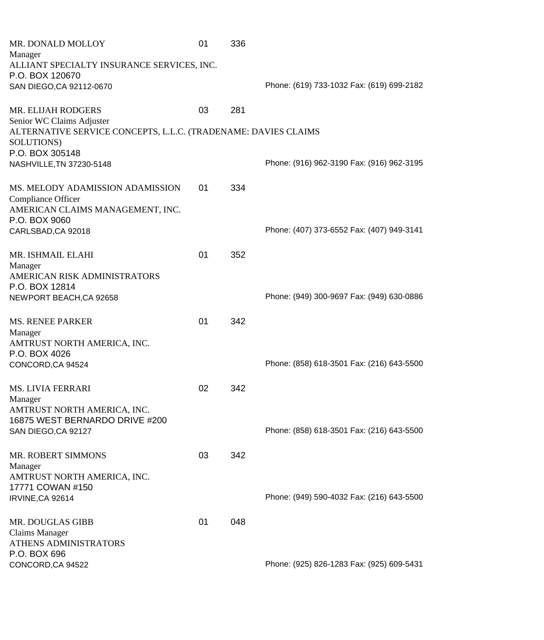| MR. DONALD MOLLOY                                              | 01 | 336 |                                           |
|----------------------------------------------------------------|----|-----|-------------------------------------------|
| Manager                                                        |    |     |                                           |
| ALLIANT SPECIALTY INSURANCE SERVICES, INC.                     |    |     |                                           |
| P.O. BOX 120670                                                |    |     |                                           |
| SAN DIEGO, CA 92112-0670                                       |    |     | Phone: (619) 733-1032 Fax: (619) 699-2182 |
|                                                                |    |     |                                           |
| <b>MR. ELIJAH RODGERS</b>                                      | 03 | 281 |                                           |
| Senior WC Claims Adjuster                                      |    |     |                                           |
| ALTERNATIVE SERVICE CONCEPTS, L.L.C. (TRADENAME: DAVIES CLAIMS |    |     |                                           |
| SOLUTIONS)                                                     |    |     |                                           |
| P.O. BOX 305148                                                |    |     |                                           |
| NASHVILLE, TN 37230-5148                                       |    |     | Phone: (916) 962-3190 Fax: (916) 962-3195 |
|                                                                |    |     |                                           |
| MS. MELODY ADAMISSION ADAMISSION                               | 01 | 334 |                                           |
| Compliance Officer                                             |    |     |                                           |
| AMERICAN CLAIMS MANAGEMENT, INC.                               |    |     |                                           |
| P.O. BOX 9060                                                  |    |     |                                           |
| CARLSBAD, CA 92018                                             |    |     | Phone: (407) 373-6552 Fax: (407) 949-3141 |
|                                                                |    |     |                                           |
| MR. ISHMAIL ELAHI                                              | 01 | 352 |                                           |
| Manager                                                        |    |     |                                           |
| AMERICAN RISK ADMINISTRATORS                                   |    |     |                                           |
| P.O. BOX 12814                                                 |    |     |                                           |
| NEWPORT BEACH, CA 92658                                        |    |     | Phone: (949) 300-9697 Fax: (949) 630-0886 |
|                                                                |    |     |                                           |
| <b>MS. RENEE PARKER</b>                                        | 01 | 342 |                                           |
| Manager                                                        |    |     |                                           |
| AMTRUST NORTH AMERICA, INC.                                    |    |     |                                           |
| P.O. BOX 4026                                                  |    |     |                                           |
| CONCORD, CA 94524                                              |    |     | Phone: (858) 618-3501 Fax: (216) 643-5500 |
|                                                                |    |     |                                           |
| <b>MS. LIVIA FERRARI</b>                                       | 02 | 342 |                                           |
| Manager                                                        |    |     |                                           |
| AMTRUST NORTH AMERICA, INC.                                    |    |     |                                           |
| 16875 WEST BERNARDO DRIVE #200                                 |    |     |                                           |
| SAN DIEGO, CA 92127                                            |    |     | Phone: (858) 618-3501 Fax: (216) 643-5500 |
|                                                                |    |     |                                           |
| <b>MR. ROBERT SIMMONS</b>                                      | 03 | 342 |                                           |
| Manager                                                        |    |     |                                           |
| AMTRUST NORTH AMERICA, INC.                                    |    |     |                                           |
| 17771 COWAN #150                                               |    |     |                                           |
| IRVINE, CA 92614                                               |    |     | Phone: (949) 590-4032 Fax: (216) 643-5500 |
|                                                                |    |     |                                           |
| MR. DOUGLAS GIBB                                               | 01 | 048 |                                           |
| <b>Claims Manager</b>                                          |    |     |                                           |
| ATHENS ADMINISTRATORS                                          |    |     |                                           |
| P.O. BOX 696                                                   |    |     |                                           |
| CONCORD, CA 94522                                              |    |     | Phone: (925) 826-1283 Fax: (925) 609-5431 |
|                                                                |    |     |                                           |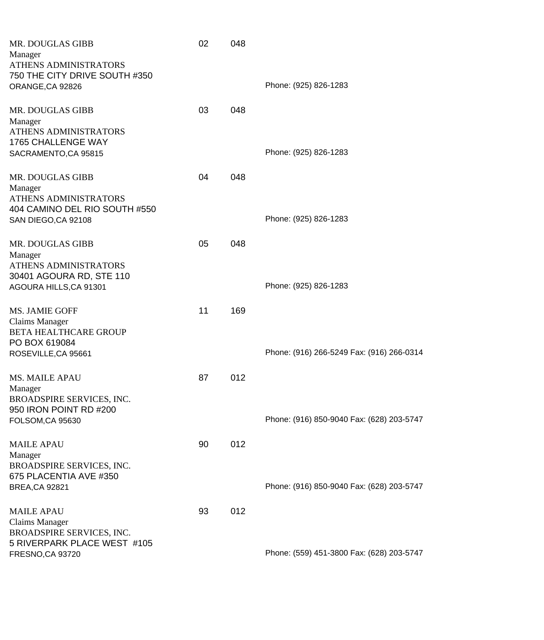| Manager                                                  | MR. DOUGLAS GIBB<br>ATHENS ADMINISTRATORS<br>750 THE CITY DRIVE SOUTH #350 | 02 | 048 | Phone: (925) 826-1283                     |
|----------------------------------------------------------|----------------------------------------------------------------------------|----|-----|-------------------------------------------|
| ORANGE, CA 92826                                         | MR. DOUGLAS GIBB                                                           | 03 | 048 |                                           |
| Manager                                                  | ATHENS ADMINISTRATORS<br>1765 CHALLENGE WAY<br>SACRAMENTO, CA 95815        |    |     | Phone: (925) 826-1283                     |
| Manager                                                  | MR. DOUGLAS GIBB<br>ATHENS ADMINISTRATORS<br>404 CAMINO DEL RIO SOUTH #550 | 04 | 048 |                                           |
|                                                          | SAN DIEGO, CA 92108                                                        |    |     | Phone: (925) 826-1283                     |
| Manager                                                  | MR. DOUGLAS GIBB<br>ATHENS ADMINISTRATORS<br>30401 AGOURA RD, STE 110      | 05 | 048 |                                           |
|                                                          | AGOURA HILLS, CA 91301                                                     |    |     | Phone: (925) 826-1283                     |
| MS. JAMIE GOFF<br><b>Claims Manager</b><br>PO BOX 619084 | <b>BETA HEALTHCARE GROUP</b><br>ROSEVILLE, CA 95661                        | 11 | 169 | Phone: (916) 266-5249 Fax: (916) 266-0314 |
| <b>MS. MAILE APAU</b>                                    |                                                                            | 87 | 012 |                                           |
| Manager<br>FOLSOM, CA 95630                              | BROADSPIRE SERVICES, INC.<br>950 IRON POINT RD #200                        |    |     | Phone: (916) 850-9040 Fax: (628) 203-5747 |
| <b>MAILE APAU</b>                                        |                                                                            | 90 | 012 |                                           |
| Manager                                                  | BROADSPIRE SERVICES, INC.<br>675 PLACENTIA AVE #350                        |    |     |                                           |
| <b>BREA, CA 92821</b>                                    |                                                                            |    |     | Phone: (916) 850-9040 Fax: (628) 203-5747 |
| <b>MAILE APAU</b><br><b>Claims Manager</b>               | BROADSPIRE SERVICES, INC.<br>5 RIVERPARK PLACE WEST #105                   | 93 | 012 |                                           |
| FRESNO, CA 93720                                         |                                                                            |    |     | Phone: (559) 451-3800 Fax: (628) 203-5747 |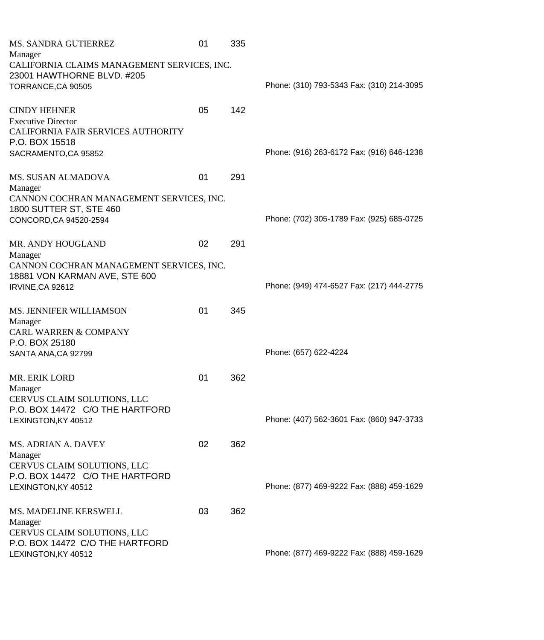| MS. SANDRA GUTIERREZ                                   | 01 | 335 |                                           |
|--------------------------------------------------------|----|-----|-------------------------------------------|
| Manager<br>CALIFORNIA CLAIMS MANAGEMENT SERVICES, INC. |    |     |                                           |
| 23001 HAWTHORNE BLVD. #205                             |    |     |                                           |
| TORRANCE, CA 90505                                     |    |     | Phone: (310) 793-5343 Fax: (310) 214-3095 |
|                                                        |    |     |                                           |
| <b>CINDY HEHNER</b>                                    | 05 | 142 |                                           |
| <b>Executive Director</b>                              |    |     |                                           |
| CALIFORNIA FAIR SERVICES AUTHORITY<br>P.O. BOX 15518   |    |     |                                           |
| SACRAMENTO, CA 95852                                   |    |     | Phone: (916) 263-6172 Fax: (916) 646-1238 |
|                                                        |    |     |                                           |
| <b>MS. SUSAN ALMADOVA</b>                              | 01 | 291 |                                           |
| Manager                                                |    |     |                                           |
| CANNON COCHRAN MANAGEMENT SERVICES, INC.               |    |     |                                           |
| 1800 SUTTER ST, STE 460<br>CONCORD, CA 94520-2594      |    |     | Phone: (702) 305-1789 Fax: (925) 685-0725 |
|                                                        |    |     |                                           |
| <b>MR. ANDY HOUGLAND</b>                               | 02 | 291 |                                           |
| Manager                                                |    |     |                                           |
| CANNON COCHRAN MANAGEMENT SERVICES, INC.               |    |     |                                           |
| 18881 VON KARMAN AVE, STE 600                          |    |     |                                           |
| IRVINE, CA 92612                                       |    |     | Phone: (949) 474-6527 Fax: (217) 444-2775 |
| MS. JENNIFER WILLIAMSON                                | 01 | 345 |                                           |
| Manager                                                |    |     |                                           |
| <b>CARL WARREN &amp; COMPANY</b>                       |    |     |                                           |
| P.O. BOX 25180                                         |    |     |                                           |
| SANTA ANA, CA 92799                                    |    |     | Phone: (657) 622-4224                     |
| MR. ERIK LORD                                          | 01 | 362 |                                           |
| Manager                                                |    |     |                                           |
| CERVUS CLAIM SOLUTIONS, LLC                            |    |     |                                           |
| P.O. BOX 14472 C/O THE HARTFORD                        |    |     |                                           |
| LEXINGTON, KY 40512                                    |    |     | Phone: (407) 562-3601 Fax: (860) 947-3733 |
| MS. ADRIAN A. DAVEY                                    | 02 | 362 |                                           |
| Manager                                                |    |     |                                           |
| CERVUS CLAIM SOLUTIONS, LLC                            |    |     |                                           |
| P.O. BOX 14472 C/O THE HARTFORD                        |    |     |                                           |
| LEXINGTON, KY 40512                                    |    |     | Phone: (877) 469-9222 Fax: (888) 459-1629 |
|                                                        | 03 |     |                                           |
| <b>MS. MADELINE KERSWELL</b><br>Manager                |    | 362 |                                           |
| CERVUS CLAIM SOLUTIONS, LLC                            |    |     |                                           |
| P.O. BOX 14472 C/O THE HARTFORD                        |    |     |                                           |
| LEXINGTON, KY 40512                                    |    |     | Phone: (877) 469-9222 Fax: (888) 459-1629 |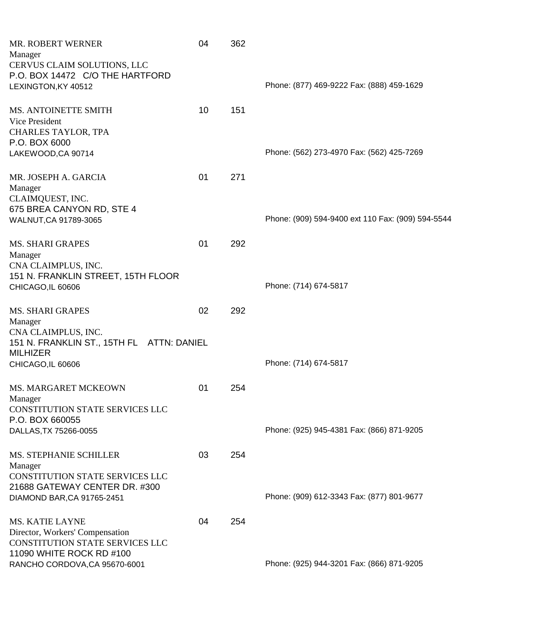| MR. ROBERT WERNER<br>Manager<br>CERVUS CLAIM SOLUTIONS, LLC<br>P.O. BOX 14472 C/O THE HARTFORD<br>LEXINGTON, KY 40512    | 04 | 362 | Phone: (877) 469-9222 Fax: (888) 459-1629         |
|--------------------------------------------------------------------------------------------------------------------------|----|-----|---------------------------------------------------|
| MS. ANTOINETTE SMITH<br>Vice President<br>CHARLES TAYLOR, TPA<br>P.O. BOX 6000                                           | 10 | 151 |                                                   |
| LAKEWOOD, CA 90714                                                                                                       |    |     | Phone: (562) 273-4970 Fax: (562) 425-7269         |
| MR. JOSEPH A. GARCIA<br>Manager<br>CLAIMQUEST, INC.<br>675 BREA CANYON RD, STE 4                                         | 01 | 271 |                                                   |
| WALNUT, CA 91789-3065                                                                                                    |    |     | Phone: (909) 594-9400 ext 110 Fax: (909) 594-5544 |
| <b>MS. SHARI GRAPES</b><br>Manager<br>CNA CLAIMPLUS, INC.<br>151 N. FRANKLIN STREET, 15TH FLOOR<br>CHICAGO, IL 60606     | 01 | 292 | Phone: (714) 674-5817                             |
| <b>MS. SHARI GRAPES</b><br>Manager<br>CNA CLAIMPLUS, INC.<br>151 N. FRANKLIN ST., 15TH FL ATTN: DANIEL                   | 02 | 292 |                                                   |
| <b>MILHIZER</b><br>CHICAGO, IL 60606                                                                                     |    |     | Phone: (714) 674-5817                             |
| <b>MS. MARGARET MCKEOWN</b><br>Manager<br><b>CONSTITUTION STATE SERVICES LLC</b><br>P.O. BOX 660055                      | 01 | 254 |                                                   |
| DALLAS, TX 75266-0055                                                                                                    |    |     | Phone: (925) 945-4381 Fax: (866) 871-9205         |
| <b>MS. STEPHANIE SCHILLER</b><br>Manager<br><b>CONSTITUTION STATE SERVICES LLC</b><br>21688 GATEWAY CENTER DR. #300      | 03 | 254 |                                                   |
| DIAMOND BAR, CA 91765-2451                                                                                               |    |     | Phone: (909) 612-3343 Fax: (877) 801-9677         |
| <b>MS. KATIE LAYNE</b><br>Director, Workers' Compensation<br>CONSTITUTION STATE SERVICES LLC<br>11090 WHITE ROCK RD #100 | 04 | 254 |                                                   |
| RANCHO CORDOVA, CA 95670-6001                                                                                            |    |     | Phone: (925) 944-3201 Fax: (866) 871-9205         |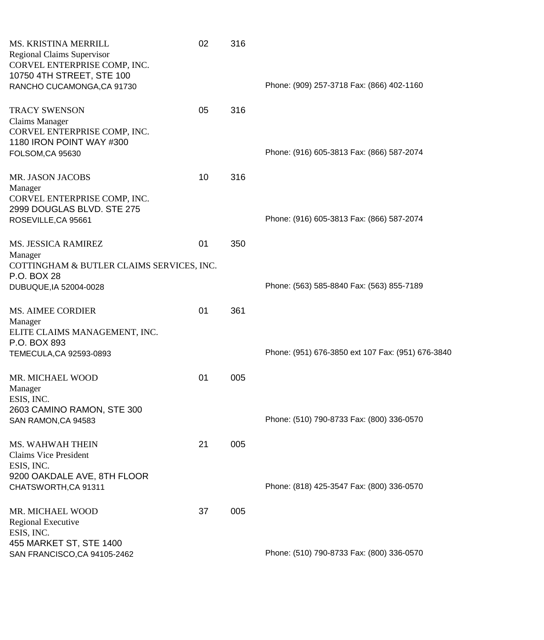| MS. KRISTINA MERRILL<br><b>Regional Claims Supervisor</b><br>CORVEL ENTERPRISE COMP, INC.<br>10750 4TH STREET, STE 100<br>RANCHO CUCAMONGA, CA 91730 | 02 | 316 | Phone: (909) 257-3718 Fax: (866) 402-1160         |
|------------------------------------------------------------------------------------------------------------------------------------------------------|----|-----|---------------------------------------------------|
| <b>TRACY SWENSON</b><br><b>Claims Manager</b><br>CORVEL ENTERPRISE COMP, INC.<br>1180 IRON POINT WAY #300                                            | 05 | 316 | Phone: (916) 605-3813 Fax: (866) 587-2074         |
| FOLSOM, CA 95630<br>MR. JASON JACOBS                                                                                                                 | 10 | 316 |                                                   |
| Manager<br>CORVEL ENTERPRISE COMP, INC.<br>2999 DOUGLAS BLVD. STE 275<br>ROSEVILLE, CA 95661                                                         |    |     | Phone: (916) 605-3813 Fax: (866) 587-2074         |
| <b>MS. JESSICA RAMIREZ</b><br>Manager<br>COTTINGHAM & BUTLER CLAIMS SERVICES, INC.                                                                   | 01 | 350 |                                                   |
| P.O. BOX 28<br>DUBUQUE, IA 52004-0028                                                                                                                |    |     | Phone: (563) 585-8840 Fax: (563) 855-7189         |
| <b>MS. AIMEE CORDIER</b><br>Manager<br>ELITE CLAIMS MANAGEMENT, INC.                                                                                 | 01 | 361 |                                                   |
| P.O. BOX 893<br>TEMECULA, CA 92593-0893                                                                                                              |    |     | Phone: (951) 676-3850 ext 107 Fax: (951) 676-3840 |
| MR. MICHAEL WOOD<br>Manager<br>ESIS, INC.                                                                                                            | 01 | 005 |                                                   |
| 2603 CAMINO RAMON, STE 300<br>SAN RAMON, CA 94583                                                                                                    |    |     | Phone: (510) 790-8733 Fax: (800) 336-0570         |
| <b>MS. WAHWAH THEIN</b><br><b>Claims Vice President</b><br>ESIS, INC.                                                                                | 21 | 005 |                                                   |
| 9200 OAKDALE AVE, 8TH FLOOR<br>CHATSWORTH, CA 91311                                                                                                  |    |     | Phone: (818) 425-3547 Fax: (800) 336-0570         |
| MR. MICHAEL WOOD<br>Regional Executive<br>ESIS, INC.                                                                                                 | 37 | 005 |                                                   |
| 455 MARKET ST, STE 1400<br>SAN FRANCISCO, CA 94105-2462                                                                                              |    |     | Phone: (510) 790-8733 Fax: (800) 336-0570         |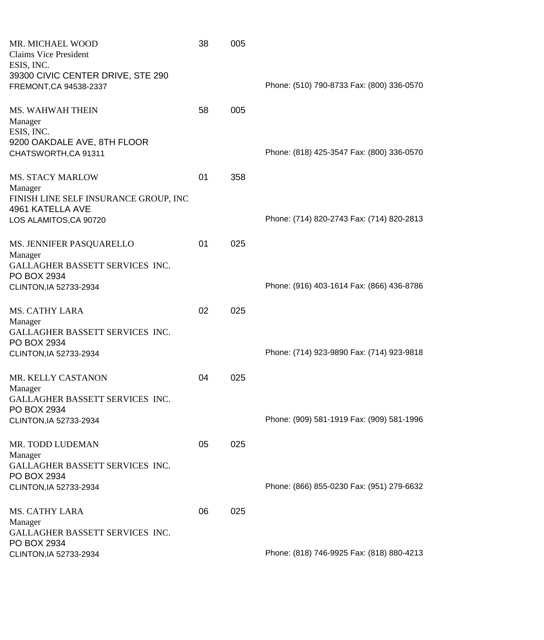| MR. MICHAEL WOOD<br><b>Claims Vice President</b><br>ESIS, INC.                      | 38 | 005 |                                           |
|-------------------------------------------------------------------------------------|----|-----|-------------------------------------------|
| 39300 CIVIC CENTER DRIVE, STE 290<br>FREMONT, CA 94538-2337                         |    |     | Phone: (510) 790-8733 Fax: (800) 336-0570 |
| <b>MS. WAHWAH THEIN</b><br>Manager                                                  | 58 | 005 |                                           |
| ESIS, INC.<br>9200 OAKDALE AVE, 8TH FLOOR<br>CHATSWORTH, CA 91311                   |    |     | Phone: (818) 425-3547 Fax: (800) 336-0570 |
| <b>MS. STACY MARLOW</b><br>Manager                                                  | 01 | 358 |                                           |
| FINISH LINE SELF INSURANCE GROUP, INC<br>4961 KATELLA AVE<br>LOS ALAMITOS, CA 90720 |    |     | Phone: (714) 820-2743 Fax: (714) 820-2813 |
| MS. JENNIFER PASQUARELLO                                                            | 01 | 025 |                                           |
| Manager<br>GALLAGHER BASSETT SERVICES INC.<br>PO BOX 2934                           |    |     |                                           |
| CLINTON, IA 52733-2934                                                              |    |     | Phone: (916) 403-1614 Fax: (866) 436-8786 |
| <b>MS. CATHY LARA</b><br>Manager                                                    | 02 | 025 |                                           |
| GALLAGHER BASSETT SERVICES INC.<br>PO BOX 2934<br>CLINTON, IA 52733-2934            |    |     | Phone: (714) 923-9890 Fax: (714) 923-9818 |
| MR. KELLY CASTANON                                                                  | 04 | 025 |                                           |
| Manager<br>GALLAGHER BASSETT SERVICES INC.<br>PO BOX 2934                           |    |     |                                           |
| CLINTON, IA 52733-2934                                                              |    |     | Phone: (909) 581-1919 Fax: (909) 581-1996 |
| MR. TODD LUDEMAN<br>Manager<br>GALLAGHER BASSETT SERVICES INC.                      | 05 | 025 |                                           |
| PO BOX 2934<br>CLINTON, IA 52733-2934                                               |    |     | Phone: (866) 855-0230 Fax: (951) 279-6632 |
| <b>MS. CATHY LARA</b><br>Manager                                                    | 06 | 025 |                                           |
| GALLAGHER BASSETT SERVICES INC.<br>PO BOX 2934                                      |    |     | Phone: (818) 746-9925 Fax: (818) 880-4213 |
| CLINTON, IA 52733-2934                                                              |    |     |                                           |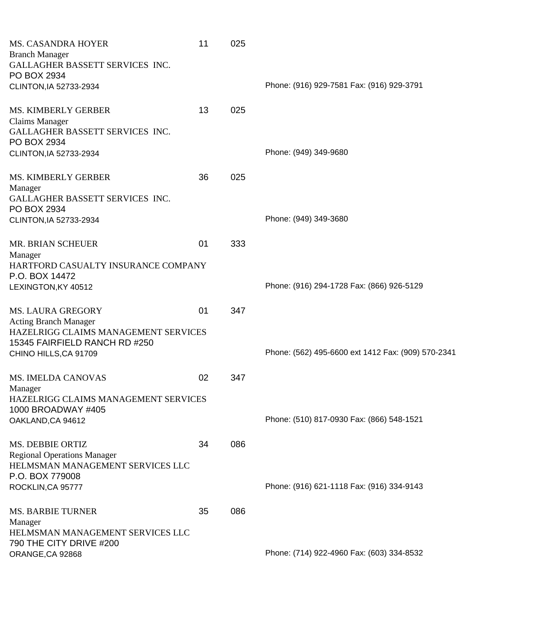| <b>MS. CASANDRA HOYER</b><br><b>Branch Manager</b>                     | 11 | 025 |                                                    |
|------------------------------------------------------------------------|----|-----|----------------------------------------------------|
| GALLAGHER BASSETT SERVICES INC.<br>PO BOX 2934                         |    |     |                                                    |
| CLINTON, IA 52733-2934                                                 |    |     | Phone: (916) 929-7581 Fax: (916) 929-3791          |
| <b>MS. KIMBERLY GERBER</b>                                             | 13 | 025 |                                                    |
| Claims Manager<br>GALLAGHER BASSETT SERVICES INC.<br>PO BOX 2934       |    |     |                                                    |
| CLINTON, IA 52733-2934                                                 |    |     | Phone: (949) 349-9680                              |
| <b>MS. KIMBERLY GERBER</b>                                             | 36 | 025 |                                                    |
| Manager<br>GALLAGHER BASSETT SERVICES INC.                             |    |     |                                                    |
| PO BOX 2934<br>CLINTON, IA 52733-2934                                  |    |     | Phone: (949) 349-3680                              |
| MR. BRIAN SCHEUER                                                      | 01 | 333 |                                                    |
| Manager<br>HARTFORD CASUALTY INSURANCE COMPANY                         |    |     |                                                    |
| P.O. BOX 14472<br>LEXINGTON, KY 40512                                  |    |     | Phone: (916) 294-1728 Fax: (866) 926-5129          |
| <b>MS. LAURA GREGORY</b>                                               | 01 | 347 |                                                    |
| <b>Acting Branch Manager</b><br>HAZELRIGG CLAIMS MANAGEMENT SERVICES   |    |     |                                                    |
| 15345 FAIRFIELD RANCH RD #250                                          |    |     |                                                    |
| CHINO HILLS, CA 91709                                                  |    |     | Phone: (562) 495-6600 ext 1412 Fax: (909) 570-2341 |
| <b>MS. IMELDA CANOVAS</b><br>Manager                                   | 02 | 347 |                                                    |
| HAZELRIGG CLAIMS MANAGEMENT SERVICES<br>1000 BROADWAY #405             |    |     |                                                    |
| OAKLAND, CA 94612                                                      |    |     | Phone: (510) 817-0930 Fax: (866) 548-1521          |
| <b>MS. DEBBIE ORTIZ</b>                                                | 34 | 086 |                                                    |
| <b>Regional Operations Manager</b><br>HELMSMAN MANAGEMENT SERVICES LLC |    |     |                                                    |
| P.O. BOX 779008<br>ROCKLIN, CA 95777                                   |    |     | Phone: (916) 621-1118 Fax: (916) 334-9143          |
| <b>MS. BARBIE TURNER</b>                                               | 35 | 086 |                                                    |
| Manager<br>HELMSMAN MANAGEMENT SERVICES LLC                            |    |     |                                                    |
| 790 THE CITY DRIVE #200<br>ORANGE, CA 92868                            |    |     | Phone: (714) 922-4960 Fax: (603) 334-8532          |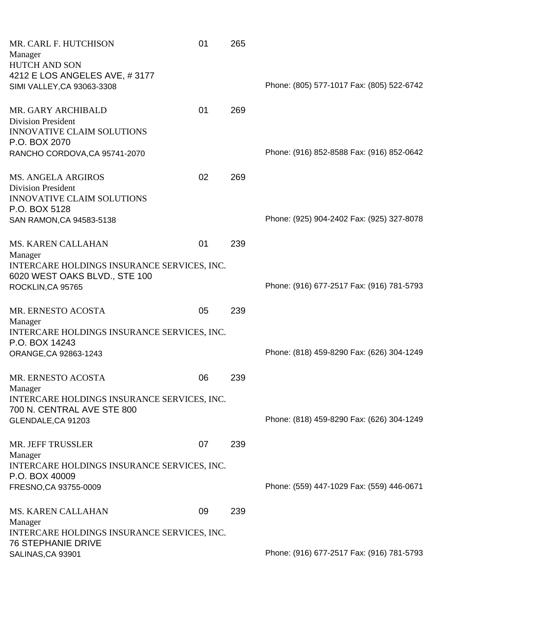| MR. CARL F. HUTCHISON                       | 01 | 265 |                                           |
|---------------------------------------------|----|-----|-------------------------------------------|
| Manager                                     |    |     |                                           |
| <b>HUTCH AND SON</b>                        |    |     |                                           |
| 4212 E LOS ANGELES AVE, #3177               |    |     |                                           |
| SIMI VALLEY, CA 93063-3308                  |    |     | Phone: (805) 577-1017 Fax: (805) 522-6742 |
|                                             |    |     |                                           |
| MR. GARY ARCHIBALD                          | 01 | 269 |                                           |
| <b>Division President</b>                   |    |     |                                           |
| <b>INNOVATIVE CLAIM SOLUTIONS</b>           |    |     |                                           |
| P.O. BOX 2070                               |    |     |                                           |
| RANCHO CORDOVA, CA 95741-2070               |    |     | Phone: (916) 852-8588 Fax: (916) 852-0642 |
|                                             |    |     |                                           |
|                                             | 02 |     |                                           |
| <b>MS. ANGELA ARGIROS</b>                   |    | 269 |                                           |
| <b>Division President</b>                   |    |     |                                           |
| <b>INNOVATIVE CLAIM SOLUTIONS</b>           |    |     |                                           |
| P.O. BOX 5128                               |    |     |                                           |
| SAN RAMON, CA 94583-5138                    |    |     | Phone: (925) 904-2402 Fax: (925) 327-8078 |
|                                             |    |     |                                           |
| <b>MS. KAREN CALLAHAN</b>                   | 01 | 239 |                                           |
| Manager                                     |    |     |                                           |
| INTERCARE HOLDINGS INSURANCE SERVICES, INC. |    |     |                                           |
| 6020 WEST OAKS BLVD., STE 100               |    |     |                                           |
| ROCKLIN, CA 95765                           |    |     | Phone: (916) 677-2517 Fax: (916) 781-5793 |
|                                             |    |     |                                           |
| MR. ERNESTO ACOSTA                          | 05 | 239 |                                           |
| Manager                                     |    |     |                                           |
| INTERCARE HOLDINGS INSURANCE SERVICES, INC. |    |     |                                           |
| P.O. BOX 14243                              |    |     |                                           |
| ORANGE, CA 92863-1243                       |    |     | Phone: (818) 459-8290 Fax: (626) 304-1249 |
|                                             |    |     |                                           |
| MR. ERNESTO ACOSTA                          | 06 | 239 |                                           |
| Manager                                     |    |     |                                           |
| INTERCARE HOLDINGS INSURANCE SERVICES, INC. |    |     |                                           |
| 700 N. CENTRAL AVE STE 800                  |    |     |                                           |
|                                             |    |     |                                           |
| GLENDALE, CA 91203                          |    |     | Phone: (818) 459-8290 Fax: (626) 304-1249 |
|                                             |    |     |                                           |
| MR. JEFF TRUSSLER                           | 07 | 239 |                                           |
| Manager                                     |    |     |                                           |
| INTERCARE HOLDINGS INSURANCE SERVICES, INC. |    |     |                                           |
| P.O. BOX 40009                              |    |     |                                           |
| FRESNO, CA 93755-0009                       |    |     | Phone: (559) 447-1029 Fax: (559) 446-0671 |
|                                             |    |     |                                           |
| MS. KAREN CALLAHAN                          | 09 | 239 |                                           |
| Manager                                     |    |     |                                           |
| INTERCARE HOLDINGS INSURANCE SERVICES, INC. |    |     |                                           |
| <b>76 STEPHANIE DRIVE</b>                   |    |     |                                           |
| SALINAS, CA 93901                           |    |     | Phone: (916) 677-2517 Fax: (916) 781-5793 |
|                                             |    |     |                                           |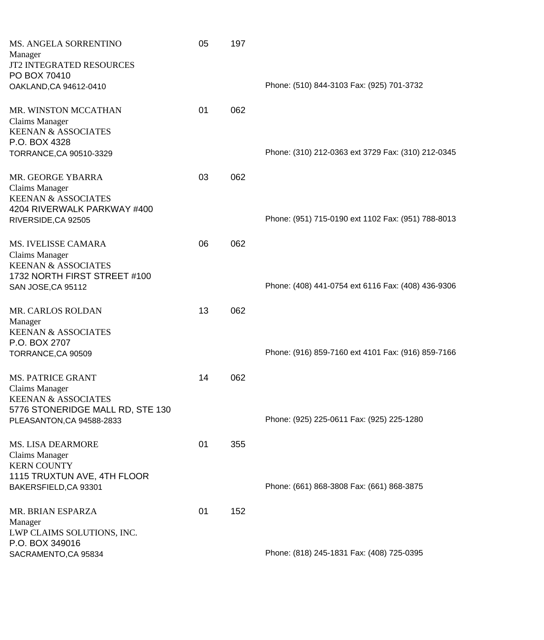| MS. ANGELA SORRENTINO<br>Manager<br>JT2 INTEGRATED RESOURCES<br>PO BOX 70410                                                | 05 | 197 |                                                    |
|-----------------------------------------------------------------------------------------------------------------------------|----|-----|----------------------------------------------------|
| OAKLAND, CA 94612-0410                                                                                                      |    |     | Phone: (510) 844-3103 Fax: (925) 701-3732          |
| MR. WINSTON MCCATHAN<br><b>Claims Manager</b><br><b>KEENAN &amp; ASSOCIATES</b><br>P.O. BOX 4328<br>TORRANCE, CA 90510-3329 | 01 | 062 | Phone: (310) 212-0363 ext 3729 Fax: (310) 212-0345 |
| MR. GEORGE YBARRA<br><b>Claims Manager</b><br><b>KEENAN &amp; ASSOCIATES</b>                                                | 03 | 062 |                                                    |
| 4204 RIVERWALK PARKWAY #400<br>RIVERSIDE, CA 92505                                                                          |    |     | Phone: (951) 715-0190 ext 1102 Fax: (951) 788-8013 |
| MS. IVELISSE CAMARA<br><b>Claims Manager</b><br><b>KEENAN &amp; ASSOCIATES</b><br>1732 NORTH FIRST STREET #100              | 06 | 062 |                                                    |
| SAN JOSE, CA 95112                                                                                                          |    |     | Phone: (408) 441-0754 ext 6116 Fax: (408) 436-9306 |
| MR. CARLOS ROLDAN<br>Manager<br><b>KEENAN &amp; ASSOCIATES</b><br>P.O. BOX 2707                                             | 13 | 062 |                                                    |
| TORRANCE, CA 90509                                                                                                          |    |     | Phone: (916) 859-7160 ext 4101 Fax: (916) 859-7166 |
| <b>MS. PATRICE GRANT</b><br><b>Claims Manager</b><br><b>KEENAN &amp; ASSOCIATES</b><br>5776 STONERIDGE MALL RD, STE 130     | 14 | 062 |                                                    |
| PLEASANTON, CA 94588-2833                                                                                                   |    |     | Phone: (925) 225-0611 Fax: (925) 225-1280          |
| <b>MS. LISA DEARMORE</b><br>Claims Manager<br><b>KERN COUNTY</b><br>1115 TRUXTUN AVE, 4TH FLOOR                             | 01 | 355 |                                                    |
| BAKERSFIELD, CA 93301                                                                                                       |    |     | Phone: (661) 868-3808 Fax: (661) 868-3875          |
| MR. BRIAN ESPARZA<br>Manager<br>LWP CLAIMS SOLUTIONS, INC.<br>P.O. BOX 349016                                               | 01 | 152 |                                                    |
| SACRAMENTO, CA 95834                                                                                                        |    |     | Phone: (818) 245-1831 Fax: (408) 725-0395          |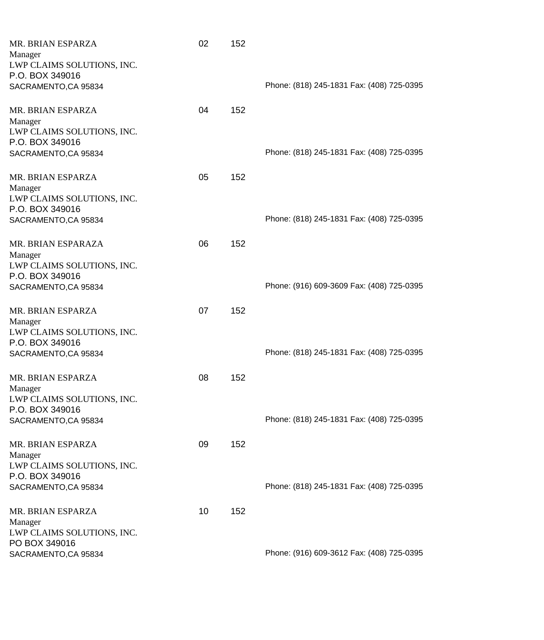| MR. BRIAN ESPARZA          | 02 | 152 |                                           |
|----------------------------|----|-----|-------------------------------------------|
| Manager                    |    |     |                                           |
| LWP CLAIMS SOLUTIONS, INC. |    |     |                                           |
| P.O. BOX 349016            |    |     |                                           |
| SACRAMENTO, CA 95834       |    |     | Phone: (818) 245-1831 Fax: (408) 725-0395 |
|                            |    |     |                                           |
| MR. BRIAN ESPARZA          | 04 | 152 |                                           |
| Manager                    |    |     |                                           |
| LWP CLAIMS SOLUTIONS, INC. |    |     |                                           |
| P.O. BOX 349016            |    |     |                                           |
| SACRAMENTO, CA 95834       |    |     | Phone: (818) 245-1831 Fax: (408) 725-0395 |
|                            |    |     |                                           |
| MR. BRIAN ESPARZA          | 05 | 152 |                                           |
| Manager                    |    |     |                                           |
|                            |    |     |                                           |
| LWP CLAIMS SOLUTIONS, INC. |    |     |                                           |
| P.O. BOX 349016            |    |     |                                           |
| SACRAMENTO, CA 95834       |    |     | Phone: (818) 245-1831 Fax: (408) 725-0395 |
| MR. BRIAN ESPARAZA         | 06 | 152 |                                           |
|                            |    |     |                                           |
| Manager                    |    |     |                                           |
| LWP CLAIMS SOLUTIONS, INC. |    |     |                                           |
| P.O. BOX 349016            |    |     |                                           |
| SACRAMENTO, CA 95834       |    |     | Phone: (916) 609-3609 Fax: (408) 725-0395 |
| MR. BRIAN ESPARZA          | 07 | 152 |                                           |
|                            |    |     |                                           |
| Manager                    |    |     |                                           |
| LWP CLAIMS SOLUTIONS, INC. |    |     |                                           |
| P.O. BOX 349016            |    |     |                                           |
| SACRAMENTO, CA 95834       |    |     | Phone: (818) 245-1831 Fax: (408) 725-0395 |
| MR. BRIAN ESPARZA          | 08 | 152 |                                           |
|                            |    |     |                                           |
| Manager                    |    |     |                                           |
| LWP CLAIMS SOLUTIONS, INC. |    |     |                                           |
| P.O. BOX 349016            |    |     |                                           |
| SACRAMENTO, CA 95834       |    |     | Phone: (818) 245-1831 Fax: (408) 725-0395 |
| MR. BRIAN ESPARZA          | 09 | 152 |                                           |
|                            |    |     |                                           |
| Manager                    |    |     |                                           |
| LWP CLAIMS SOLUTIONS, INC. |    |     |                                           |
| P.O. BOX 349016            |    |     |                                           |
| SACRAMENTO, CA 95834       |    |     | Phone: (818) 245-1831 Fax: (408) 725-0395 |
| MR. BRIAN ESPARZA          | 10 | 152 |                                           |
| Manager                    |    |     |                                           |
| LWP CLAIMS SOLUTIONS, INC. |    |     |                                           |
| PO BOX 349016              |    |     |                                           |
|                            |    |     | Phone: (916) 609-3612 Fax: (408) 725-0395 |
| SACRAMENTO, CA 95834       |    |     |                                           |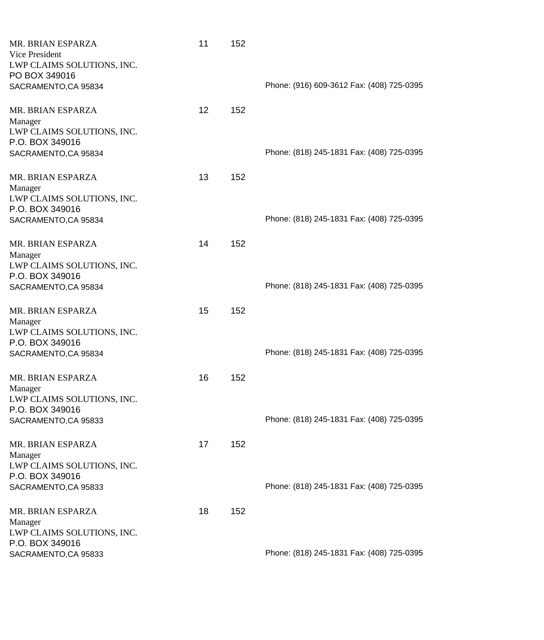| MR. BRIAN ESPARZA<br>Vice President<br>LWP CLAIMS SOLUTIONS, INC.<br>PO BOX 349016                    | 11              | 152 |                                           |
|-------------------------------------------------------------------------------------------------------|-----------------|-----|-------------------------------------------|
| SACRAMENTO, CA 95834                                                                                  |                 |     | Phone: (916) 609-3612 Fax: (408) 725-0395 |
| MR. BRIAN ESPARZA<br>Manager<br>LWP CLAIMS SOLUTIONS, INC.<br>P.O. BOX 349016<br>SACRAMENTO, CA 95834 | 12 <sup>2</sup> | 152 | Phone: (818) 245-1831 Fax: (408) 725-0395 |
| MR. BRIAN ESPARZA<br>Manager<br>LWP CLAIMS SOLUTIONS, INC.<br>P.O. BOX 349016                         | 13              | 152 |                                           |
| SACRAMENTO, CA 95834                                                                                  |                 |     | Phone: (818) 245-1831 Fax: (408) 725-0395 |
| MR. BRIAN ESPARZA<br>Manager<br>LWP CLAIMS SOLUTIONS, INC.<br>P.O. BOX 349016                         | 14              | 152 |                                           |
| SACRAMENTO, CA 95834                                                                                  |                 |     | Phone: (818) 245-1831 Fax: (408) 725-0395 |
| MR. BRIAN ESPARZA<br>Manager<br>LWP CLAIMS SOLUTIONS, INC.<br>P.O. BOX 349016<br>SACRAMENTO, CA 95834 | 15              | 152 | Phone: (818) 245-1831 Fax: (408) 725-0395 |
| MR. BRIAN ESPARZA<br>Manager<br>LWP CLAIMS SOLUTIONS, INC.                                            | 16              | 152 |                                           |
| P.O. BOX 349016<br>SACRAMENTO, CA 95833                                                               |                 |     | Phone: (818) 245-1831 Fax: (408) 725-0395 |
| MR. BRIAN ESPARZA<br>Manager<br>LWP CLAIMS SOLUTIONS, INC.<br>P.O. BOX 349016                         | 17              | 152 |                                           |
| SACRAMENTO, CA 95833                                                                                  |                 |     | Phone: (818) 245-1831 Fax: (408) 725-0395 |
| MR. BRIAN ESPARZA<br>Manager<br>LWP CLAIMS SOLUTIONS, INC.                                            | 18              | 152 |                                           |
| P.O. BOX 349016<br>SACRAMENTO, CA 95833                                                               |                 |     | Phone: (818) 245-1831 Fax: (408) 725-0395 |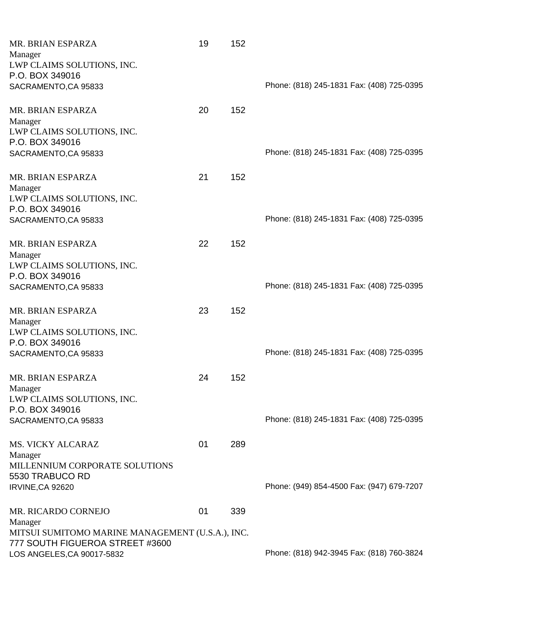| MR. BRIAN ESPARZA                                | 19 | 152 |                                           |
|--------------------------------------------------|----|-----|-------------------------------------------|
| Manager                                          |    |     |                                           |
| LWP CLAIMS SOLUTIONS, INC.                       |    |     |                                           |
| P.O. BOX 349016                                  |    |     |                                           |
| SACRAMENTO, CA 95833                             |    |     | Phone: (818) 245-1831 Fax: (408) 725-0395 |
|                                                  |    |     |                                           |
| MR. BRIAN ESPARZA                                | 20 | 152 |                                           |
| Manager                                          |    |     |                                           |
| LWP CLAIMS SOLUTIONS, INC.                       |    |     |                                           |
| P.O. BOX 349016                                  |    |     |                                           |
| SACRAMENTO, CA 95833                             |    |     | Phone: (818) 245-1831 Fax: (408) 725-0395 |
|                                                  |    |     |                                           |
| MR. BRIAN ESPARZA                                | 21 | 152 |                                           |
| Manager                                          |    |     |                                           |
| LWP CLAIMS SOLUTIONS, INC.                       |    |     |                                           |
| P.O. BOX 349016                                  |    |     |                                           |
| SACRAMENTO, CA 95833                             |    |     | Phone: (818) 245-1831 Fax: (408) 725-0395 |
|                                                  |    |     |                                           |
| MR. BRIAN ESPARZA                                | 22 | 152 |                                           |
| Manager                                          |    |     |                                           |
| LWP CLAIMS SOLUTIONS, INC.                       |    |     |                                           |
| P.O. BOX 349016                                  |    |     |                                           |
| SACRAMENTO, CA 95833                             |    |     | Phone: (818) 245-1831 Fax: (408) 725-0395 |
|                                                  |    |     |                                           |
| MR. BRIAN ESPARZA                                | 23 | 152 |                                           |
| Manager                                          |    |     |                                           |
| LWP CLAIMS SOLUTIONS, INC.                       |    |     |                                           |
| P.O. BOX 349016                                  |    |     |                                           |
| SACRAMENTO, CA 95833                             |    |     | Phone: (818) 245-1831 Fax: (408) 725-0395 |
|                                                  |    |     |                                           |
| MR. BRIAN ESPARZA                                | 24 | 152 |                                           |
| Manager                                          |    |     |                                           |
| LWP CLAIMS SOLUTIONS, INC.                       |    |     |                                           |
| P.O. BOX 349016                                  |    |     |                                           |
| SACRAMENTO, CA 95833                             |    |     | Phone: (818) 245-1831 Fax: (408) 725-0395 |
|                                                  |    |     |                                           |
| <b>MS. VICKY ALCARAZ</b>                         | 01 | 289 |                                           |
| Manager                                          |    |     |                                           |
| MILLENNIUM CORPORATE SOLUTIONS                   |    |     |                                           |
| 5530 TRABUCO RD                                  |    |     |                                           |
| IRVINE, CA 92620                                 |    |     | Phone: (949) 854-4500 Fax: (947) 679-7207 |
|                                                  |    |     |                                           |
| MR. RICARDO CORNEJO                              | 01 | 339 |                                           |
| Manager                                          |    |     |                                           |
| MITSUI SUMITOMO MARINE MANAGEMENT (U.S.A.), INC. |    |     |                                           |
| 777 SOUTH FIGUEROA STREET #3600                  |    |     |                                           |
| LOS ANGELES, CA 90017-5832                       |    |     | Phone: (818) 942-3945 Fax: (818) 760-3824 |
|                                                  |    |     |                                           |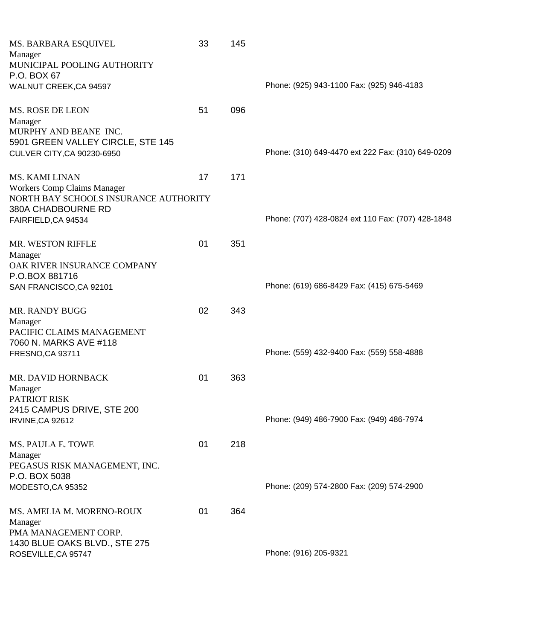| MS. BARBARA ESQUIVEL                  | 33 | 145 |                                                   |
|---------------------------------------|----|-----|---------------------------------------------------|
| Manager                               |    |     |                                                   |
| MUNICIPAL POOLING AUTHORITY           |    |     |                                                   |
| P.O. BOX 67                           |    |     |                                                   |
| WALNUT CREEK, CA 94597                |    |     | Phone: (925) 943-1100 Fax: (925) 946-4183         |
|                                       |    |     |                                                   |
| MS. ROSE DE LEON                      | 51 | 096 |                                                   |
| Manager                               |    |     |                                                   |
| MURPHY AND BEANE INC.                 |    |     |                                                   |
| 5901 GREEN VALLEY CIRCLE, STE 145     |    |     |                                                   |
| CULVER CITY, CA 90230-6950            |    |     | Phone: (310) 649-4470 ext 222 Fax: (310) 649-0209 |
|                                       |    |     |                                                   |
|                                       |    |     |                                                   |
| <b>MS. KAMI LINAN</b>                 | 17 | 171 |                                                   |
| <b>Workers Comp Claims Manager</b>    |    |     |                                                   |
| NORTH BAY SCHOOLS INSURANCE AUTHORITY |    |     |                                                   |
| 380A CHADBOURNE RD                    |    |     |                                                   |
| FAIRFIELD, CA 94534                   |    |     | Phone: (707) 428-0824 ext 110 Fax: (707) 428-1848 |
|                                       |    |     |                                                   |
| MR. WESTON RIFFLE                     | 01 | 351 |                                                   |
| Manager                               |    |     |                                                   |
| OAK RIVER INSURANCE COMPANY           |    |     |                                                   |
| P.O.BOX 881716                        |    |     |                                                   |
| SAN FRANCISCO, CA 92101               |    |     | Phone: (619) 686-8429 Fax: (415) 675-5469         |
|                                       |    |     |                                                   |
| MR. RANDY BUGG                        | 02 | 343 |                                                   |
| Manager                               |    |     |                                                   |
| PACIFIC CLAIMS MANAGEMENT             |    |     |                                                   |
| 7060 N. MARKS AVE #118                |    |     |                                                   |
| FRESNO, CA 93711                      |    |     | Phone: (559) 432-9400 Fax: (559) 558-4888         |
|                                       |    |     |                                                   |
| MR. DAVID HORNBACK                    | 01 | 363 |                                                   |
| Manager                               |    |     |                                                   |
| <b>PATRIOT RISK</b>                   |    |     |                                                   |
| 2415 CAMPUS DRIVE, STE 200            |    |     |                                                   |
| IRVINE, CA 92612                      |    |     | Phone: (949) 486-7900 Fax: (949) 486-7974         |
|                                       |    |     |                                                   |
| MS. PAULA E. TOWE                     | 01 | 218 |                                                   |
| Manager                               |    |     |                                                   |
| PEGASUS RISK MANAGEMENT, INC.         |    |     |                                                   |
| P.O. BOX 5038                         |    |     |                                                   |
| MODESTO, CA 95352                     |    |     | Phone: (209) 574-2800 Fax: (209) 574-2900         |
|                                       |    |     |                                                   |
|                                       |    |     |                                                   |
| MS. AMELIA M. MORENO-ROUX             | 01 | 364 |                                                   |
| Manager                               |    |     |                                                   |
| PMA MANAGEMENT CORP.                  |    |     |                                                   |
| 1430 BLUE OAKS BLVD., STE 275         |    |     | Phone: (916) 205-9321                             |
| ROSEVILLE, CA 95747                   |    |     |                                                   |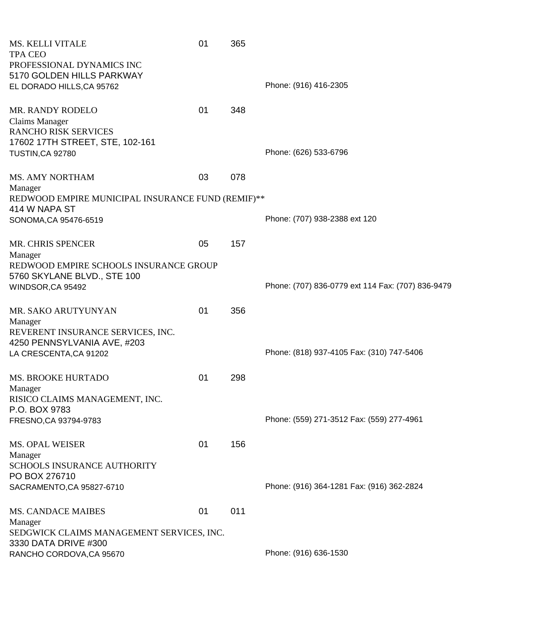| MS. KELLI VITALE<br><b>TPA CEO</b><br>PROFESSIONAL DYNAMICS INC<br>5170 GOLDEN HILLS PARKWAY                       | 01 | 365 |                                                   |
|--------------------------------------------------------------------------------------------------------------------|----|-----|---------------------------------------------------|
| EL DORADO HILLS, CA 95762                                                                                          |    |     | Phone: (916) 416-2305                             |
| <b>MR. RANDY RODELO</b><br><b>Claims Manager</b><br><b>RANCHO RISK SERVICES</b><br>17602 17TH STREET, STE, 102-161 | 01 | 348 |                                                   |
| <b>TUSTIN, CA 92780</b>                                                                                            |    |     | Phone: (626) 533-6796                             |
| <b>MS. AMY NORTHAM</b><br>Manager                                                                                  | 03 | 078 |                                                   |
| REDWOOD EMPIRE MUNICIPAL INSURANCE FUND (REMIF)**<br>414 W NAPA ST                                                 |    |     |                                                   |
| SONOMA, CA 95476-6519                                                                                              |    |     | Phone: (707) 938-2388 ext 120                     |
| <b>MR. CHRIS SPENCER</b><br>Manager                                                                                | 05 | 157 |                                                   |
| REDWOOD EMPIRE SCHOOLS INSURANCE GROUP<br>5760 SKYLANE BLVD., STE 100                                              |    |     |                                                   |
| WINDSOR, CA 95492                                                                                                  |    |     | Phone: (707) 836-0779 ext 114 Fax: (707) 836-9479 |
| MR. SAKO ARUTYUNYAN<br>Manager                                                                                     | 01 | 356 |                                                   |
| REVERENT INSURANCE SERVICES, INC.<br>4250 PENNSYLVANIA AVE, #203                                                   |    |     |                                                   |
| LA CRESCENTA, CA 91202                                                                                             |    |     | Phone: (818) 937-4105 Fax: (310) 747-5406         |
| <b>MS. BROOKE HURTADO</b><br>Manager                                                                               | 01 | 298 |                                                   |
| RISICO CLAIMS MANAGEMENT, INC.<br>P.O. BOX 9783                                                                    |    |     |                                                   |
| FRESNO, CA 93794-9783                                                                                              |    |     | Phone: (559) 271-3512 Fax: (559) 277-4961         |
| <b>MS. OPAL WEISER</b>                                                                                             | 01 | 156 |                                                   |
| Manager<br>SCHOOLS INSURANCE AUTHORITY                                                                             |    |     |                                                   |
| PO BOX 276710<br>SACRAMENTO, CA 95827-6710                                                                         |    |     | Phone: (916) 364-1281 Fax: (916) 362-2824         |
| MS. CANDACE MAIBES                                                                                                 | 01 | 011 |                                                   |
| Manager<br>SEDGWICK CLAIMS MANAGEMENT SERVICES, INC.<br>3330 DATA DRIVE #300                                       |    |     |                                                   |
| RANCHO CORDOVA, CA 95670                                                                                           |    |     | Phone: (916) 636-1530                             |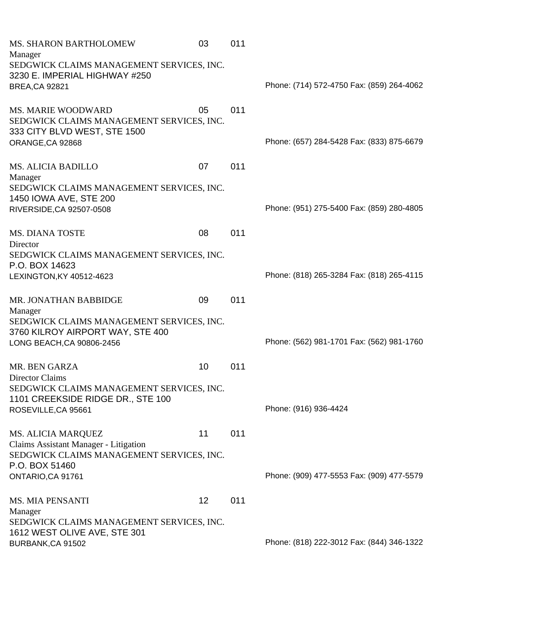| MS. SHARON BARTHOLOMEW                    | 03 | 011 |                                           |
|-------------------------------------------|----|-----|-------------------------------------------|
| Manager                                   |    |     |                                           |
| SEDGWICK CLAIMS MANAGEMENT SERVICES, INC. |    |     |                                           |
| 3230 E. IMPERIAL HIGHWAY #250             |    |     | Phone: (714) 572-4750 Fax: (859) 264-4062 |
| <b>BREA, CA 92821</b>                     |    |     |                                           |
| <b>MS. MARIE WOODWARD</b>                 | 05 | 011 |                                           |
| SEDGWICK CLAIMS MANAGEMENT SERVICES, INC. |    |     |                                           |
| 333 CITY BLVD WEST, STE 1500              |    |     |                                           |
| ORANGE, CA 92868                          |    |     | Phone: (657) 284-5428 Fax: (833) 875-6679 |
|                                           |    |     |                                           |
| <b>MS. ALICIA BADILLO</b>                 | 07 | 011 |                                           |
| Manager                                   |    |     |                                           |
| SEDGWICK CLAIMS MANAGEMENT SERVICES, INC. |    |     |                                           |
| 1450 IOWA AVE, STE 200                    |    |     | Phone: (951) 275-5400 Fax: (859) 280-4805 |
| RIVERSIDE, CA 92507-0508                  |    |     |                                           |
| <b>MS. DIANA TOSTE</b>                    | 08 | 011 |                                           |
| Director                                  |    |     |                                           |
| SEDGWICK CLAIMS MANAGEMENT SERVICES, INC. |    |     |                                           |
| P.O. BOX 14623                            |    |     |                                           |
| LEXINGTON, KY 40512-4623                  |    |     | Phone: (818) 265-3284 Fax: (818) 265-4115 |
|                                           |    |     |                                           |
| MR. JONATHAN BABBIDGE                     | 09 | 011 |                                           |
| Manager                                   |    |     |                                           |
| SEDGWICK CLAIMS MANAGEMENT SERVICES, INC. |    |     |                                           |
| 3760 KILROY AIRPORT WAY, STE 400          |    |     |                                           |
| LONG BEACH, CA 90806-2456                 |    |     | Phone: (562) 981-1701 Fax: (562) 981-1760 |
| <b>MR. BEN GARZA</b>                      | 10 | 011 |                                           |
| Director Claims                           |    |     |                                           |
| SEDGWICK CLAIMS MANAGEMENT SERVICES, INC. |    |     |                                           |
| 1101 CREEKSIDE RIDGE DR., STE 100         |    |     |                                           |
| ROSEVILLE, CA 95661                       |    |     | Phone: (916) 936-4424                     |
|                                           |    |     |                                           |
| MS. ALICIA MARQUEZ                        | 11 | 011 |                                           |
| Claims Assistant Manager - Litigation     |    |     |                                           |
| SEDGWICK CLAIMS MANAGEMENT SERVICES, INC. |    |     |                                           |
| P.O. BOX 51460                            |    |     |                                           |
| ONTARIO, CA 91761                         |    |     | Phone: (909) 477-5553 Fax: (909) 477-5579 |
| <b>MS. MIA PENSANTI</b>                   | 12 | 011 |                                           |
| Manager                                   |    |     |                                           |
| SEDGWICK CLAIMS MANAGEMENT SERVICES, INC. |    |     |                                           |
| 1612 WEST OLIVE AVE, STE 301              |    |     |                                           |
| BURBANK, CA 91502                         |    |     | Phone: (818) 222-3012 Fax: (844) 346-1322 |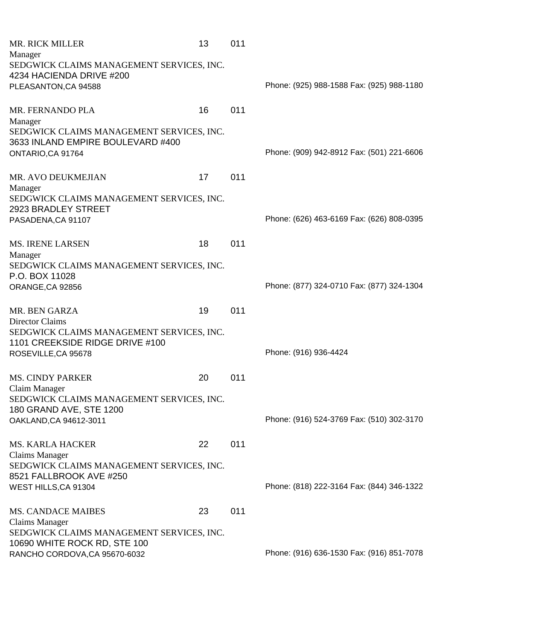| <b>MR. RICK MILLER</b>                                        | 13 | 011 |                                           |
|---------------------------------------------------------------|----|-----|-------------------------------------------|
| Manager                                                       |    |     |                                           |
| SEDGWICK CLAIMS MANAGEMENT SERVICES, INC.                     |    |     |                                           |
| 4234 HACIENDA DRIVE #200                                      |    |     |                                           |
| PLEASANTON, CA 94588                                          |    |     | Phone: (925) 988-1588 Fax: (925) 988-1180 |
|                                                               |    |     |                                           |
| MR. FERNANDO PLA                                              | 16 | 011 |                                           |
| Manager                                                       |    |     |                                           |
| SEDGWICK CLAIMS MANAGEMENT SERVICES, INC.                     |    |     |                                           |
| 3633 INLAND EMPIRE BOULEVARD #400                             |    |     |                                           |
| ONTARIO, CA 91764                                             |    |     | Phone: (909) 942-8912 Fax: (501) 221-6606 |
|                                                               |    |     |                                           |
|                                                               |    |     |                                           |
| MR. AVO DEUKMEJIAN                                            | 17 | 011 |                                           |
| Manager                                                       |    |     |                                           |
| SEDGWICK CLAIMS MANAGEMENT SERVICES, INC.                     |    |     |                                           |
| 2923 BRADLEY STREET                                           |    |     | Phone: (626) 463-6169 Fax: (626) 808-0395 |
| PASADENA, CA 91107                                            |    |     |                                           |
|                                                               |    |     |                                           |
| <b>MS. IRENE LARSEN</b>                                       | 18 | 011 |                                           |
| Manager                                                       |    |     |                                           |
| SEDGWICK CLAIMS MANAGEMENT SERVICES, INC.                     |    |     |                                           |
| P.O. BOX 11028                                                |    |     |                                           |
| ORANGE, CA 92856                                              |    |     | Phone: (877) 324-0710 Fax: (877) 324-1304 |
|                                                               |    |     |                                           |
| MR. BEN GARZA                                                 | 19 | 011 |                                           |
| Director Claims                                               |    |     |                                           |
| SEDGWICK CLAIMS MANAGEMENT SERVICES, INC.                     |    |     |                                           |
| 1101 CREEKSIDE RIDGE DRIVE #100                               |    |     |                                           |
| ROSEVILLE, CA 95678                                           |    |     | Phone: (916) 936-4424                     |
|                                                               |    |     |                                           |
| <b>MS. CINDY PARKER</b>                                       | 20 | 011 |                                           |
| Claim Manager                                                 |    |     |                                           |
| SEDGWICK CLAIMS MANAGEMENT SERVICES, INC.                     |    |     |                                           |
| 180 GRAND AVE, STE 1200                                       |    |     |                                           |
| OAKLAND, CA 94612-3011                                        |    |     | Phone: (916) 524-3769 Fax: (510) 302-3170 |
|                                                               |    |     |                                           |
|                                                               |    |     |                                           |
| <b>MS. KARLA HACKER</b>                                       | 22 | 011 |                                           |
| <b>Claims Manager</b>                                         |    |     |                                           |
| SEDGWICK CLAIMS MANAGEMENT SERVICES, INC.                     |    |     |                                           |
| 8521 FALLBROOK AVE #250                                       |    |     |                                           |
| WEST HILLS, CA 91304                                          |    |     | Phone: (818) 222-3164 Fax: (844) 346-1322 |
|                                                               |    |     |                                           |
| <b>MS. CANDACE MAIBES</b>                                     | 23 | 011 |                                           |
| Claims Manager                                                |    |     |                                           |
| SEDGWICK CLAIMS MANAGEMENT SERVICES, INC.                     |    |     |                                           |
|                                                               |    |     |                                           |
| 10690 WHITE ROCK RD, STE 100<br>RANCHO CORDOVA, CA 95670-6032 |    |     | Phone: (916) 636-1530 Fax: (916) 851-7078 |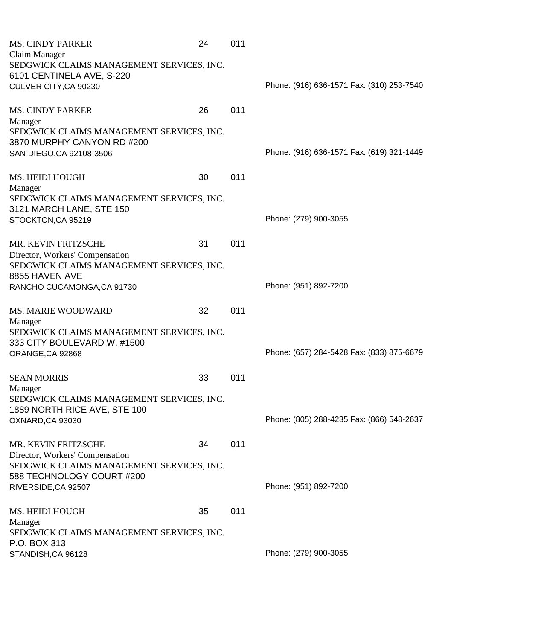| <b>MS. CINDY PARKER</b>                                     | 24 | 011 |                                           |
|-------------------------------------------------------------|----|-----|-------------------------------------------|
| Claim Manager                                               |    |     |                                           |
| SEDGWICK CLAIMS MANAGEMENT SERVICES, INC.                   |    |     |                                           |
| 6101 CENTINELA AVE, S-220                                   |    |     |                                           |
| CULVER CITY, CA 90230                                       |    |     | Phone: (916) 636-1571 Fax: (310) 253-7540 |
|                                                             |    |     |                                           |
| <b>MS. CINDY PARKER</b>                                     | 26 | 011 |                                           |
| Manager                                                     |    |     |                                           |
| SEDGWICK CLAIMS MANAGEMENT SERVICES, INC.                   |    |     |                                           |
| 3870 MURPHY CANYON RD #200                                  |    |     |                                           |
| SAN DIEGO, CA 92108-3506                                    |    |     | Phone: (916) 636-1571 Fax: (619) 321-1449 |
|                                                             |    |     |                                           |
| MS. HEIDI HOUGH                                             | 30 | 011 |                                           |
| Manager                                                     |    |     |                                           |
| SEDGWICK CLAIMS MANAGEMENT SERVICES, INC.                   |    |     |                                           |
| 3121 MARCH LANE, STE 150                                    |    |     |                                           |
| STOCKTON, CA 95219                                          |    |     | Phone: (279) 900-3055                     |
|                                                             |    |     |                                           |
|                                                             | 31 | 011 |                                           |
| MR. KEVIN FRITZSCHE<br>Director, Workers' Compensation      |    |     |                                           |
|                                                             |    |     |                                           |
| SEDGWICK CLAIMS MANAGEMENT SERVICES, INC.<br>8855 HAVEN AVE |    |     |                                           |
|                                                             |    |     | Phone: (951) 892-7200                     |
| RANCHO CUCAMONGA, CA 91730                                  |    |     |                                           |
|                                                             |    |     |                                           |
|                                                             |    |     |                                           |
| MS. MARIE WOODWARD                                          | 32 | 011 |                                           |
| Manager                                                     |    |     |                                           |
| SEDGWICK CLAIMS MANAGEMENT SERVICES, INC.                   |    |     |                                           |
| 333 CITY BOULEVARD W. #1500                                 |    |     |                                           |
| ORANGE, CA 92868                                            |    |     | Phone: (657) 284-5428 Fax: (833) 875-6679 |
|                                                             |    |     |                                           |
| <b>SEAN MORRIS</b>                                          | 33 | 011 |                                           |
| Manager                                                     |    |     |                                           |
| SEDGWICK CLAIMS MANAGEMENT SERVICES, INC.                   |    |     |                                           |
| 1889 NORTH RICE AVE, STE 100                                |    |     |                                           |
| OXNARD, CA 93030                                            |    |     | Phone: (805) 288-4235 Fax: (866) 548-2637 |
|                                                             |    |     |                                           |
| MR. KEVIN FRITZSCHE                                         | 34 | 011 |                                           |
| Director, Workers' Compensation                             |    |     |                                           |
| SEDGWICK CLAIMS MANAGEMENT SERVICES, INC.                   |    |     |                                           |
| 588 TECHNOLOGY COURT #200                                   |    |     |                                           |
| RIVERSIDE, CA 92507                                         |    |     | Phone: (951) 892-7200                     |
|                                                             |    |     |                                           |
| MS. HEIDI HOUGH                                             | 35 | 011 |                                           |
| Manager                                                     |    |     |                                           |
| SEDGWICK CLAIMS MANAGEMENT SERVICES, INC.                   |    |     |                                           |
| P.O. BOX 313<br>STANDISH, CA 96128                          |    |     | Phone: (279) 900-3055                     |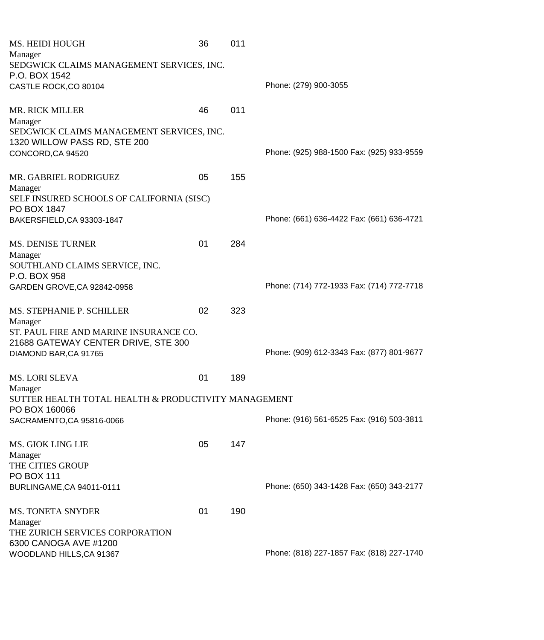| MS. HEIDI HOUGH                                                           | 36 | 011 |                                           |
|---------------------------------------------------------------------------|----|-----|-------------------------------------------|
| Manager                                                                   |    |     |                                           |
| SEDGWICK CLAIMS MANAGEMENT SERVICES, INC.                                 |    |     |                                           |
| P.O. BOX 1542                                                             |    |     | Phone: (279) 900-3055                     |
| CASTLE ROCK, CO 80104                                                     |    |     |                                           |
| <b>MR. RICK MILLER</b>                                                    | 46 | 011 |                                           |
| Manager                                                                   |    |     |                                           |
| SEDGWICK CLAIMS MANAGEMENT SERVICES, INC.<br>1320 WILLOW PASS RD, STE 200 |    |     |                                           |
| CONCORD, CA 94520                                                         |    |     | Phone: (925) 988-1500 Fax: (925) 933-9559 |
|                                                                           |    |     |                                           |
| MR. GABRIEL RODRIGUEZ<br>Manager                                          | 05 | 155 |                                           |
| SELF INSURED SCHOOLS OF CALIFORNIA (SISC)                                 |    |     |                                           |
| PO BOX 1847                                                               |    |     |                                           |
| BAKERSFIELD, CA 93303-1847                                                |    |     | Phone: (661) 636-4422 Fax: (661) 636-4721 |
|                                                                           |    |     |                                           |
| MS. DENISE TURNER<br>Manager                                              | 01 | 284 |                                           |
| SOUTHLAND CLAIMS SERVICE, INC.                                            |    |     |                                           |
| P.O. BOX 958                                                              |    |     |                                           |
| GARDEN GROVE, CA 92842-0958                                               |    |     | Phone: (714) 772-1933 Fax: (714) 772-7718 |
|                                                                           |    |     |                                           |
| MS. STEPHANIE P. SCHILLER                                                 | 02 | 323 |                                           |
| Manager                                                                   |    |     |                                           |
| ST. PAUL FIRE AND MARINE INSURANCE CO.                                    |    |     |                                           |
| 21688 GATEWAY CENTER DRIVE, STE 300<br>DIAMOND BAR, CA 91765              |    |     | Phone: (909) 612-3343 Fax: (877) 801-9677 |
|                                                                           |    |     |                                           |
| MS. LORI SLEVA                                                            | 01 | 189 |                                           |
| Manager                                                                   |    |     |                                           |
| SUTTER HEALTH TOTAL HEALTH & PRODUCTIVITY MANAGEMENT                      |    |     |                                           |
| PO BOX 160066                                                             |    |     |                                           |
| SACRAMENTO, CA 95816-0066                                                 |    |     | Phone: (916) 561-6525 Fax: (916) 503-3811 |
| <b>MS. GIOK LING LIE</b>                                                  | 05 | 147 |                                           |
| Manager                                                                   |    |     |                                           |
| THE CITIES GROUP                                                          |    |     |                                           |
| <b>PO BOX 111</b>                                                         |    |     |                                           |
| BURLINGAME, CA 94011-0111                                                 |    |     | Phone: (650) 343-1428 Fax: (650) 343-2177 |
|                                                                           |    |     |                                           |
| <b>MS. TONETA SNYDER</b>                                                  | 01 | 190 |                                           |
| Manager<br>THE ZURICH SERVICES CORPORATION                                |    |     |                                           |
| 6300 CANOGA AVE #1200                                                     |    |     |                                           |
| WOODLAND HILLS, CA 91367                                                  |    |     | Phone: (818) 227-1857 Fax: (818) 227-1740 |
|                                                                           |    |     |                                           |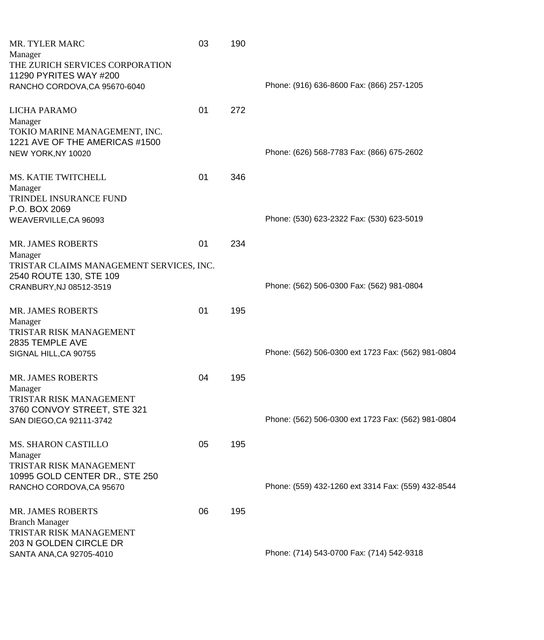| <b>MR. TYLER MARC</b><br>Manager<br>THE ZURICH SERVICES CORPORATION                            | 03 | 190 |                                                    |
|------------------------------------------------------------------------------------------------|----|-----|----------------------------------------------------|
| 11290 PYRITES WAY #200<br>RANCHO CORDOVA, CA 95670-6040                                        |    |     | Phone: (916) 636-8600 Fax: (866) 257-1205          |
| LICHA PARAMO<br>Manager                                                                        | 01 | 272 |                                                    |
| TOKIO MARINE MANAGEMENT, INC.<br>1221 AVE OF THE AMERICAS #1500<br>NEW YORK, NY 10020          |    |     | Phone: (626) 568-7783 Fax: (866) 675-2602          |
| MS. KATIE TWITCHELL<br>Manager                                                                 | 01 | 346 |                                                    |
| TRINDEL INSURANCE FUND<br>P.O. BOX 2069<br>WEAVERVILLE, CA 96093                               |    |     | Phone: (530) 623-2322 Fax: (530) 623-5019          |
| <b>MR. JAMES ROBERTS</b><br>Manager                                                            | 01 | 234 |                                                    |
| TRISTAR CLAIMS MANAGEMENT SERVICES, INC.<br>2540 ROUTE 130, STE 109<br>CRANBURY, NJ 08512-3519 |    |     | Phone: (562) 506-0300 Fax: (562) 981-0804          |
| <b>MR. JAMES ROBERTS</b><br>Manager                                                            | 01 | 195 |                                                    |
| TRISTAR RISK MANAGEMENT<br>2835 TEMPLE AVE<br>SIGNAL HILL, CA 90755                            |    |     | Phone: (562) 506-0300 ext 1723 Fax: (562) 981-0804 |
| <b>MR. JAMES ROBERTS</b><br>Manager                                                            | 04 | 195 |                                                    |
| TRISTAR RISK MANAGEMENT<br>3760 CONVOY STREET, STE 321<br>SAN DIEGO, CA 92111-3742             |    |     | Phone: (562) 506-0300 ext 1723 Fax: (562) 981-0804 |
| <b>MS. SHARON CASTILLO</b><br>Manager                                                          | 05 | 195 |                                                    |
| TRISTAR RISK MANAGEMENT<br>10995 GOLD CENTER DR., STE 250<br>RANCHO CORDOVA, CA 95670          |    |     | Phone: (559) 432-1260 ext 3314 Fax: (559) 432-8544 |
| <b>MR. JAMES ROBERTS</b><br><b>Branch Manager</b><br>TRISTAR RISK MANAGEMENT                   | 06 | 195 |                                                    |
| 203 N GOLDEN CIRCLE DR<br>SANTA ANA, CA 92705-4010                                             |    |     | Phone: (714) 543-0700 Fax: (714) 542-9318          |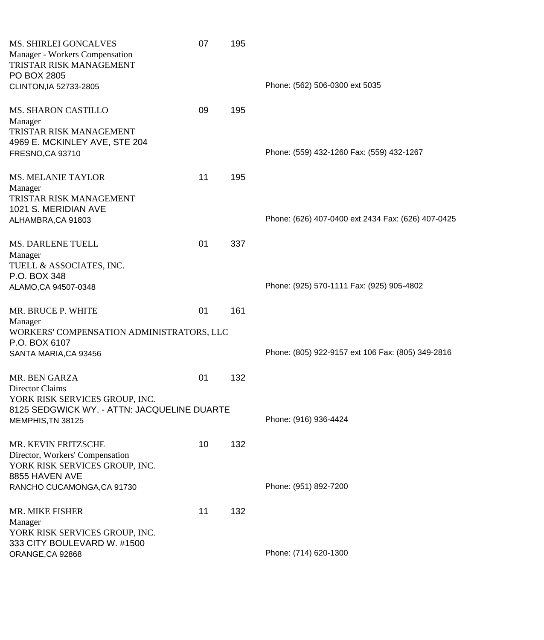| <b>MS. SHIRLEI GONCALVES</b><br>Manager - Workers Compensation<br>TRISTAR RISK MANAGEMENT<br>PO BOX 2805   | 07 | 195 |                                                    |
|------------------------------------------------------------------------------------------------------------|----|-----|----------------------------------------------------|
| CLINTON, IA 52733-2805                                                                                     |    |     | Phone: (562) 506-0300 ext 5035                     |
| <b>MS. SHARON CASTILLO</b><br>Manager<br>TRISTAR RISK MANAGEMENT<br>4969 E. MCKINLEY AVE, STE 204          | 09 | 195 | Phone: (559) 432-1260 Fax: (559) 432-1267          |
| FRESNO, CA 93710                                                                                           |    |     |                                                    |
| <b>MS. MELANIE TAYLOR</b><br>Manager<br>TRISTAR RISK MANAGEMENT<br>1021 S. MERIDIAN AVE                    | 11 | 195 |                                                    |
| ALHAMBRA, CA 91803                                                                                         |    |     | Phone: (626) 407-0400 ext 2434 Fax: (626) 407-0425 |
| <b>MS. DARLENE TUELL</b><br>Manager<br>TUELL & ASSOCIATES, INC.                                            | 01 | 337 |                                                    |
| P.O. BOX 348<br>ALAMO, CA 94507-0348                                                                       |    |     | Phone: (925) 570-1111 Fax: (925) 905-4802          |
|                                                                                                            |    |     |                                                    |
| MR. BRUCE P. WHITE<br>Manager<br>WORKERS' COMPENSATION ADMINISTRATORS, LLC                                 | 01 | 161 |                                                    |
| P.O. BOX 6107                                                                                              |    |     |                                                    |
| SANTA MARIA, CA 93456                                                                                      |    |     | Phone: (805) 922-9157 ext 106 Fax: (805) 349-2816  |
| MR. BEN GARZA<br>Director Claims                                                                           | 01 | 132 |                                                    |
| YORK RISK SERVICES GROUP, INC.                                                                             |    |     |                                                    |
| 8125 SEDGWICK WY. - ATTN: JACQUELINE DUARTE<br>MEMPHIS, TN 38125                                           |    |     | Phone: (916) 936-4424                              |
| MR. KEVIN FRITZSCHE<br>Director, Workers' Compensation<br>YORK RISK SERVICES GROUP, INC.<br>8855 HAVEN AVE | 10 | 132 |                                                    |
| RANCHO CUCAMONGA, CA 91730                                                                                 |    |     | Phone: (951) 892-7200                              |
| MR. MIKE FISHER<br>Manager<br>YORK RISK SERVICES GROUP, INC.                                               | 11 | 132 |                                                    |
| 333 CITY BOULEVARD W. #1500<br>ORANGE, CA 92868                                                            |    |     | Phone: (714) 620-1300                              |